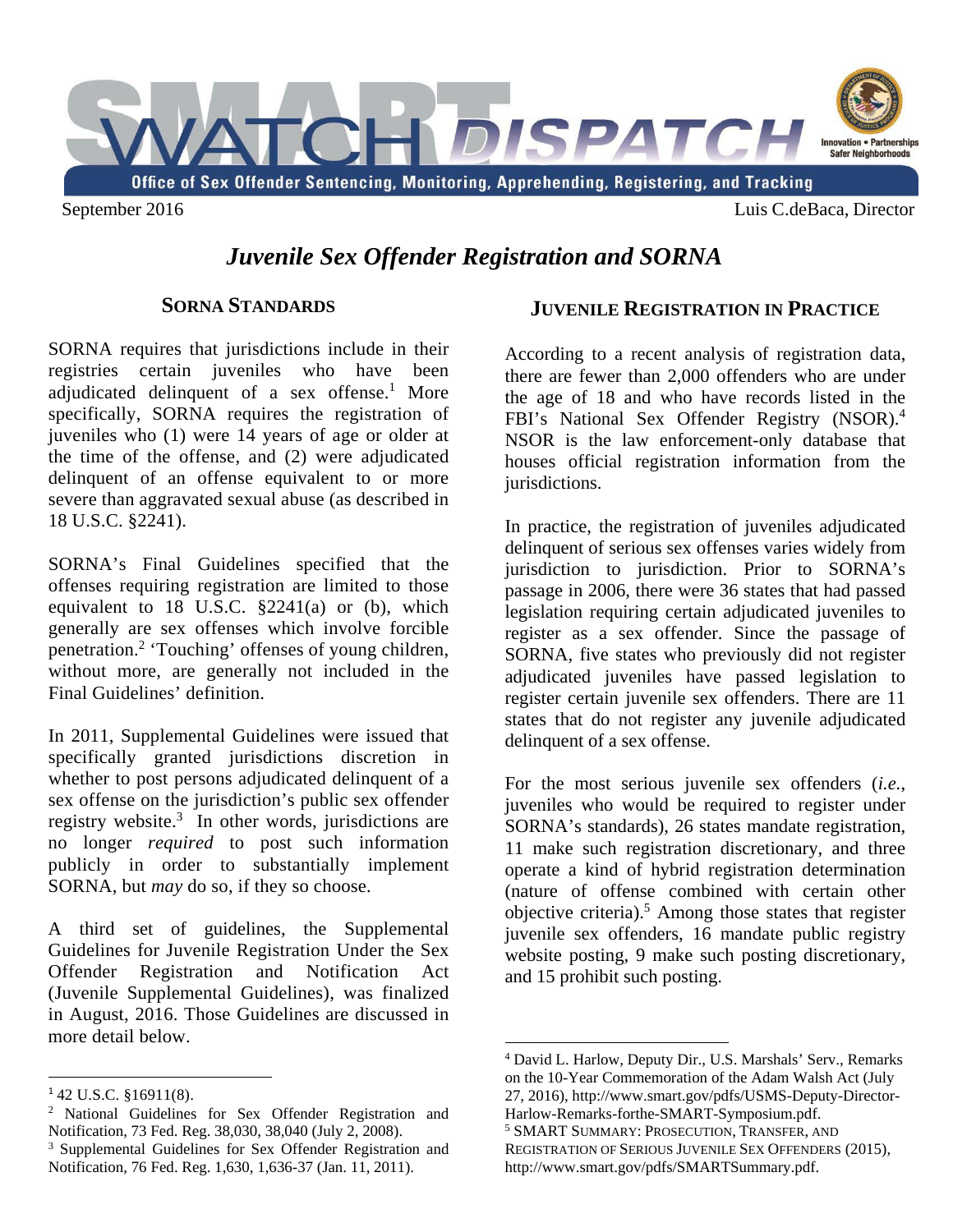

# *Juvenile Sex Offender Registration and SORNA*

## **SORNA STANDARDS**

SORNA requires that jurisdictions include in their registries certain juveniles who have been adjudicated delinquent of a sex offense.<sup>1</sup> More specifically, SORNA requires the registration of juveniles who (1) were 14 years of age or older at the time of the offense, and (2) were adjudicated delinquent of an offense equivalent to or more severe than aggravated sexual abuse (as described in 18 U.S.C. §2241).

SORNA's Final Guidelines specified that the offenses requiring registration are limited to those equivalent to  $18$  U.S.C.  $\S2241(a)$  or (b), which generally are sex offenses which involve forcible penetration.<sup>2</sup> 'Touching' offenses of young children, without more, are generally not included in the Final Guidelines' definition.

In 2011, Supplemental Guidelines were issued that specifically granted jurisdictions discretion in whether to post persons adjudicated delinquent of a sex offense on the jurisdiction's public sex offender registry website.<sup>3</sup> In other words, jurisdictions are no longer *required* to post such information publicly in order to substantially implement SORNA, but *may* do so, if they so choose.

A third set of guidelines, the Supplemental Guidelines for Juvenile Registration Under the Sex Offender Registration and Notification Act (Juvenile Supplemental Guidelines), was finalized in August, 2016. Those Guidelines are discussed in more detail below.

## **JUVENILE REGISTRATION IN PRACTICE**

According to a recent analysis of registration data, there are fewer than 2,000 offenders who are under the age of 18 and who have records listed in the FBI's National Sex Offender Registry (NSOR).<sup>4</sup> NSOR is the law enforcement-only database that houses official registration information from the jurisdictions.

In practice, the registration of juveniles adjudicated delinquent of serious sex offenses varies widely from jurisdiction to jurisdiction. Prior to SORNA's passage in 2006, there were 36 states that had passed legislation requiring certain adjudicated juveniles to register as a sex offender. Since the passage of SORNA, five states who previously did not register adjudicated juveniles have passed legislation to register certain juvenile sex offenders. There are 11 states that do not register any juvenile adjudicated delinquent of a sex offense.

For the most serious juvenile sex offenders (*i.e.*, juveniles who would be required to register under SORNA's standards), 26 states mandate registration, 11 make such registration discretionary, and three operate a kind of hybrid registration determination (nature of offense combined with certain other objective criteria).<sup>5</sup> Among those states that register juvenile sex offenders, 16 mandate public registry website posting, 9 make such posting discretionary, and 15 prohibit such posting.

<sup>1</sup> 42 U.S.C. §16911(8).

<sup>&</sup>lt;sup>2</sup> National Guidelines for Sex Offender Registration and Notification, 73 Fed. Reg. 38,030, 38,040 (July 2, 2008).

 Notification, 76 Fed. Reg. 1,630, 1,636-37 (Jan. 11, 2011). 3 Supplemental Guidelines for Sex Offender Registration and

 4 David L. Harlow, Deputy Dir., U.S. Marshals' Serv., Remarks on the 10-Year Commemoration of the Adam Walsh Act (July 27, 2016), http://www.smart.gov/pdfs/USMS-Deputy-Director-Harlow-Remarks-forthe-SMART-Symposium.pdf.

<sup>5</sup> SMART SUMMARY: PROSECUTION, TRANSFER, AND REGISTRATION OF SERIOUS JUVENILE SEX OFFENDERS (2015), http://www.smart.gov/pdfs/SMARTSummary.pdf.